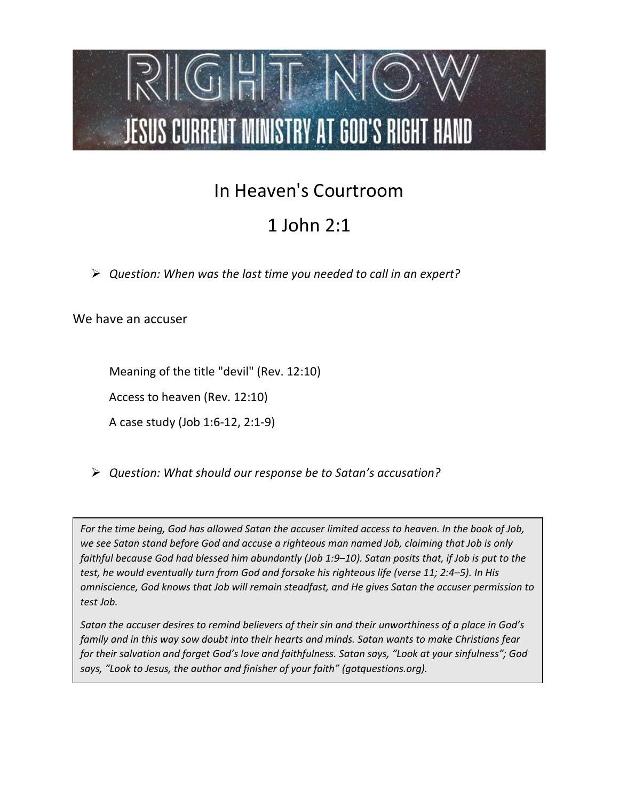

## In Heaven's Courtroom

## 1 John 2:1

 $\triangleright$  Question: When was the last time you needed to call in an expert?

We have an accuser

Meaning of the title "devil" (Rev. 12:10)

Access to heaven (Rev. 12:10)

A case study (Job 1:6-12, 2:1-9)

Question: What should our response be to Satan's accusation?

For the time being, God has allowed Satan the accuser limited access to heaven. In the book of Job, we see Satan stand before God and accuse a righteous man named Job, claiming that Job is only faithful because God had blessed him abundantly (Job 1:9–10). Satan posits that, if Job is put to the test, he would eventually turn from God and forsake his righteous life (verse 11; 2:4–5). In His omniscience, God knows that Job will remain steadfast, and He gives Satan the accuser permission to test Job.

Satan the accuser desires to remind believers of their sin and their unworthiness of a place in God's family and in this way sow doubt into their hearts and minds. Satan wants to make Christians fear for their salvation and forget God's love and faithfulness. Satan says, "Look at your sinfulness"; God says, "Look to Jesus, the author and finisher of your faith" (gotquestions.org).